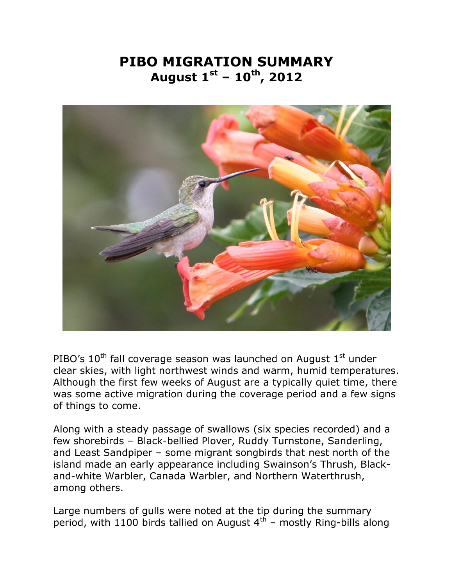## **PIBO MIGRATION SUMMARY August 1st – 10th, 2012**



PIBO's  $10^{th}$  fall coverage season was launched on August  $1^{st}$  under clear skies, with light northwest winds and warm, humid temperatures. Although the first few weeks of August are a typically quiet time, there was some active migration during the coverage period and a few signs of things to come.

Along with a steady passage of swallows (six species recorded) and a few shorebirds – Black-bellied Plover, Ruddy Turnstone, Sanderling, and Least Sandpiper – some migrant songbirds that nest north of the island made an early appearance including Swainson's Thrush, Blackand-white Warbler, Canada Warbler, and Northern Waterthrush, among others.

Large numbers of gulls were noted at the tip during the summary period, with 1100 birds tallied on August  $4<sup>th</sup>$  – mostly Ring-bills along